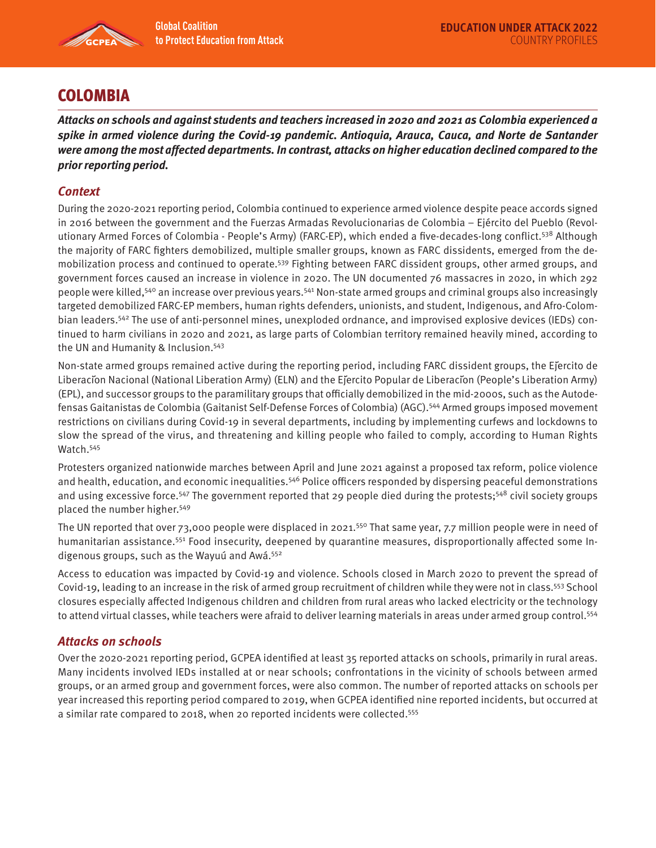

# **COLOMBIA**

**Attacks on schools and against students and teachers increased in 2020 and 2021 as Colombia experienced a spike in armed violence during the Covid-19 pandemic. Antioquia, Arauca, Cauca, and Norte de Santander were among the most affected departments. In contrast, attacks on higher education declined compared to the prior reporting period.** 

# **Context**

During the 2020-2021 reporting period, Colombia continued to experience armed violence despite peace accords signed in 2016 between the government and the Fuerzas Armadas Revolucionarias de Colombia – Ejército del Pueblo (Revolutionary Armed Forces of Colombia - People's Army) (FARC-EP), which ended a five-decades-long conflict.538 Although the majority of FARC fighters demobilized, multiple smaller groups, known as FARC dissidents, emerged from the demobilization process and continued to operate.539 Fighting between FARC dissident groups, other armed groups, and government forces caused an increase in violence in 2020. The UN documented 76 massacres in 2020, in which 292 people were killed,540 an increase over previous years.541 Non-state armed groups and criminal groups also increasingly targeted demobilized FARC-EP members, human rights defenders, unionists, and student, Indigenous, and Afro-Colombian leaders.542 The use of anti-personnel mines, unexploded ordnance, and improvised explosive devices (IEDs) continued to harm civilians in 2020 and 2021, as large parts of Colombian territory remained heavily mined, according to the UN and Humanity & Inclusion.543

Non-state armed groups remained active during the reporting period, including FARC dissident groups, the Ejercito de Liberación Nacional (National Liberation Army) (ELN) and the Ejército Popular de Liberación (People's Liberation Army) (EPL), and successor groups to the paramilitary groups that officially demobilized in the mid-2000s, such as the Autodefensas Gaitanistas de Colombia (Gaitanist Self-Defense Forces of Colombia) (AGC).<sup>544</sup> Armed groups imposed movement restrictions on civilians during Covid-19 in several departments, including by implementing curfews and lockdowns to slow the spread of the virus, and threatening and killing people who failed to comply, according to Human Rights Watch.<sup>545</sup>

Protesters organized nationwide marches between April and June 2021 against a proposed tax reform, police violence and health, education, and economic inequalities.<sup>546</sup> Police officers responded by dispersing peaceful demonstrations and using excessive force.<sup>547</sup> The government reported that 29 people died during the protests;<sup>548</sup> civil society groups placed the number higher.549

The UN reported that over 73,000 people were displaced in 2021.<sup>550</sup> That same year, 7.7 million people were in need of humanitarian assistance.<sup>551</sup> Food insecurity, deepened by quarantine measures, disproportionally affected some Indigenous groups, such as the Wayuú and Awá.552

Access to education was impacted by Covid-19 and violence. Schools closed in March 2020 to prevent the spread of Covid-19, leading to an increase in the risk of armed group recruitment of children while they were not in class.<sup>553</sup> School closures especially affected Indigenous children and children from rural areas who lacked electricity or the technology to attend virtual classes, while teachers were afraid to deliver learning materials in areas under armed group control.554

## **Attacks on schools**

Over the 2020-2021 reporting period, GCPEA identified at least 35 reported attacks on schools, primarily in rural areas. Many incidents involved IEDs installed at or near schools; confrontations in the vicinity of schools between armed groups, or an armed group and government forces, were also common. The number of reported attacks on schools per year increased this reporting period compared to 2019, when GCPEA identified nine reported incidents, but occurred at a similar rate compared to 2018, when 20 reported incidents were collected.555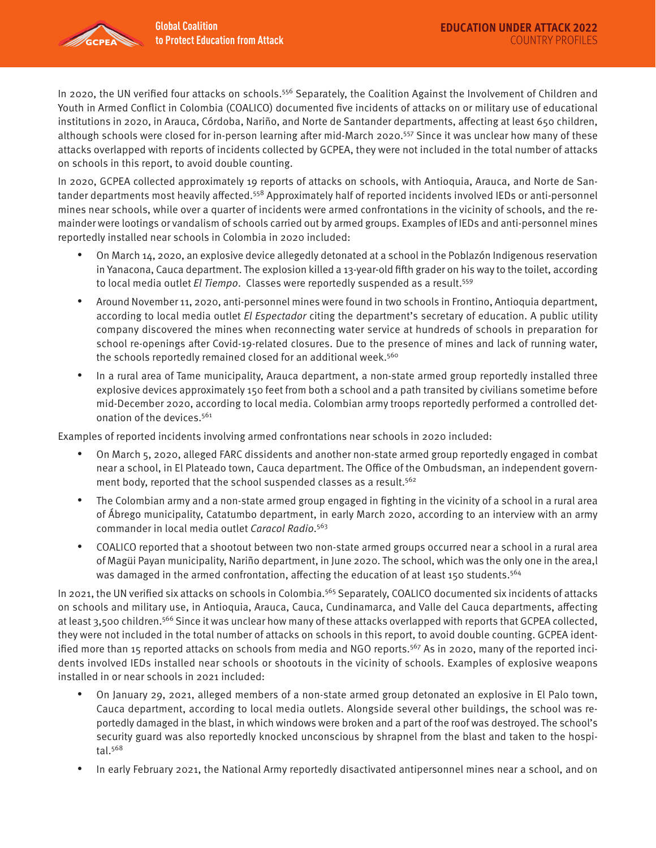

In 2020, the UN verified four attacks on schools.<sup>556</sup> Separately, the Coalition Against the Involvement of Children and Youth in Armed Conflict in Colombia (COALICO) documented five incidents of attacks on or military use of educational institutions in 2020, in Arauca, Córdoba, Nariño, and Norte de Santander departments, affecting at least 650 children, although schools were closed for in-person learning after mid-March 2020.557 Since it was unclear how many of these attacks overlapped with reports of incidents collected by GCPEA, they were not included in the total number of attacks on schools in this report, to avoid double counting.

In 2020, GCPEA collected approximately 19 reports of attacks on schools, with Antioquia, Arauca, and Norte de Santander departments most heavily affected.558 Approximately half of reported incidents involved IEDs or anti-personnel mines near schools, while over a quarter of incidents were armed confrontations in the vicinity of schools, and the remainder were lootings or vandalism of schools carried out by armed groups. Examples of IEDs and anti-personnel mines reportedly installed near schools in Colombia in 2020 included:

- On March 14, 2020, an explosive device allegedly detonated at a school in the Poblazón Indigenous reservation in Yanacona, Cauca department. The explosion killed a 13-year-old fifth grader on his way to the toilet, according to local media outlet El Tiempo. Classes were reportedly suspended as a result.<sup>559</sup>
- Around November 11, 2020, anti-personnel mines were found in two schools in Frontino, Antioquia department, according to local media outlet El Espectador citing the department's secretary of education. A public utility company discovered the mines when reconnecting water service at hundreds of schools in preparation for school re-openings after Covid-19-related closures. Due to the presence of mines and lack of running water, the schools reportedly remained closed for an additional week.<sup>560</sup>
- In a rural area of Tame municipality, Arauca department, a non-state armed group reportedly installed three explosive devices approximately 150 feet from both a school and a path transited by civilians sometime before mid-December 2020, according to local media. Colombian army troops reportedly performed a controlled detonation of the devices.<sup>561</sup>

Examples of reported incidents involving armed confrontations near schools in 2020 included:

- On March 5, 2020, alleged FARC dissidents and another non-state armed group reportedly engaged in combat near a school, in El Plateado town, Cauca department. The Office of the Ombudsman, an independent government body, reported that the school suspended classes as a result.<sup>562</sup>
- The Colombian army and a non-state armed group engaged in fighting in the vicinity of a school in a rural area of Ábrego municipality, Catatumbo department, in early March 2020, according to an interview with an army commander in local media outlet Caracol Radio.<sup>563</sup>
- COALICO reported that a shootout between two non-state armed groups occurred near a school in a rural area of Magüi Payan municipality, Nariño department, in June 2020. The school, which was the only one in the area,l was damaged in the armed confrontation, affecting the education of at least 150 students.<sup>564</sup>

In 2021, the UN verified six attacks on schools in Colombia.<sup>565</sup> Separately, COALICO documented six incidents of attacks on schools and military use, in Antioquia, Arauca, Cauca, Cundinamarca, and Valle del Cauca departments, affecting at least 3,500 children.566 Since it was unclear how many of these attacks overlapped with reports that GCPEA collected, they were not included in the total number of attacks on schools in this report, to avoid double counting. GCPEA identified more than 15 reported attacks on schools from media and NGO reports.<sup>567</sup> As in 2020, many of the reported incidents involved IEDs installed near schools or shootouts in the vicinity of schools. Examples of explosive weapons installed in or near schools in 2021 included:

- On January 29, 2021, alleged members of a non-state armed group detonated an explosive in El Palo town, Cauca department, according to local media outlets. Alongside several other buildings, the school was reportedly damaged in the blast, in which windows were broken and a part of the roof was destroyed. The school's security guard was also reportedly knocked unconscious by shrapnel from the blast and taken to the hospital.568
- In early February 2021, the National Army reportedly disactivated antipersonnel mines near a school, and on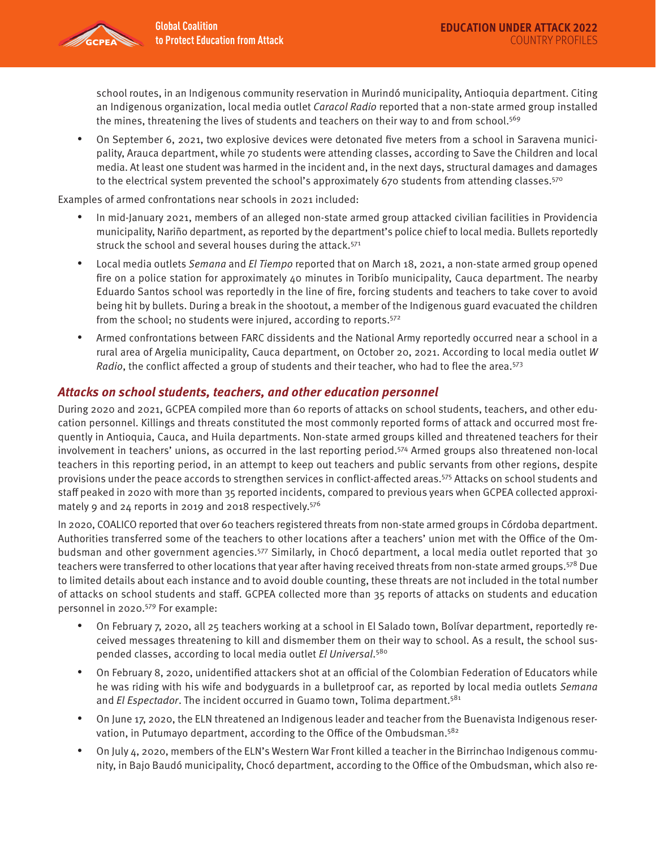

school routes, in an Indigenous community reservation in Murindó municipality, Antioquia department. Citing an Indigenous organization, local media outlet Caracol Radio reported that a non-state armed group installed the mines, threatening the lives of students and teachers on their way to and from school.<sup>569</sup>

• On September 6, 2021, two explosive devices were detonated five meters from a school in Saravena municipality, Arauca department, while 70 students were attending classes, according to Save the Children and local media. At least one student was harmed in the incident and, in the next days, structural damages and damages to the electrical system prevented the school's approximately 670 students from attending classes.<sup>570</sup>

Examples of armed confrontations near schools in 2021 included:

- In mid-January 2021, members of an alleged non-state armed group attacked civilian facilities in Providencia municipality, Nariño department, as reported by the department's police chief to local media. Bullets reportedly struck the school and several houses during the attack.<sup>571</sup>
- Local media outlets Semana and El Tiempo reported that on March 18, 2021, a non-state armed group opened fire on a police station for approximately 40 minutes in Toribío municipality, Cauca department. The nearby Eduardo Santos school was reportedly in the line of fire, forcing students and teachers to take cover to avoid being hit by bullets. During a break in the shootout, a member of the Indigenous guard evacuated the children from the school; no students were injured, according to reports.<sup>572</sup>
- Armed confrontations between FARC dissidents and the National Army reportedly occurred near a school in a rural area of Argelia municipality, Cauca department, on October 20, 2021. According to local media outlet W Radio, the conflict affected a group of students and their teacher, who had to flee the area.<sup>573</sup>

### **Attacks on school students, teachers, and other education personnel**

During 2020 and 2021, GCPEA compiled more than 60 reports of attacks on school students, teachers, and other education personnel. Killings and threats constituted the most commonly reported forms of attack and occurred most frequently in Antioquia, Cauca, and Huila departments. Non-state armed groups killed and threatened teachers for their involvement in teachers' unions, as occurred in the last reporting period.574 Armed groups also threatened non-local teachers in this reporting period, in an attempt to keep out teachers and public servants from other regions, despite provisions under the peace accords to strengthen services in conflict-affected areas.575 Attacks on school students and staff peaked in 2020 with more than 35 reported incidents, compared to previous years when GCPEA collected approximately 9 and 24 reports in 2019 and 2018 respectively.576

In 2020, COALICO reported that over 60 teachers registered threats from non-state armed groups in Córdoba department. Authorities transferred some of the teachers to other locations after a teachers' union met with the Office of the Ombudsman and other government agencies.577 Similarly, in Chocó department, a local media outlet reported that 30 teachers were transferred to other locations that year after having received threats from non-state armed groups.<sup>578</sup> Due to limited details about each instance and to avoid double counting, these threats are not included in the total number of attacks on school students and staff. GCPEA collected more than 35 reports of attacks on students and education personnel in 2020.579 For example:

- On February 7, 2020, all 25 teachers working at a school in El Salado town, Bolívar department, reportedly received messages threatening to kill and dismember them on their way to school. As a result, the school suspended classes, according to local media outlet El Universal.<sup>580</sup>
- On February 8, 2020, unidentified attackers shot at an official of the Colombian Federation of Educators while he was riding with his wife and bodyguards in a bulletproof car, as reported by local media outlets Semana and El Espectador. The incident occurred in Guamo town, Tolima department.<sup>581</sup>
- On June 17, 2020, the ELN threatened an Indigenous leader and teacher from the Buenavista Indigenous reservation, in Putumayo department, according to the Office of the Ombudsman.<sup>582</sup>
- On July 4, 2020, members of the ELN's Western War Front killed a teacher in the Birrinchao Indigenous community, in Bajo Baudó municipality, Chocó department, according to the Office of the Ombudsman, which also re-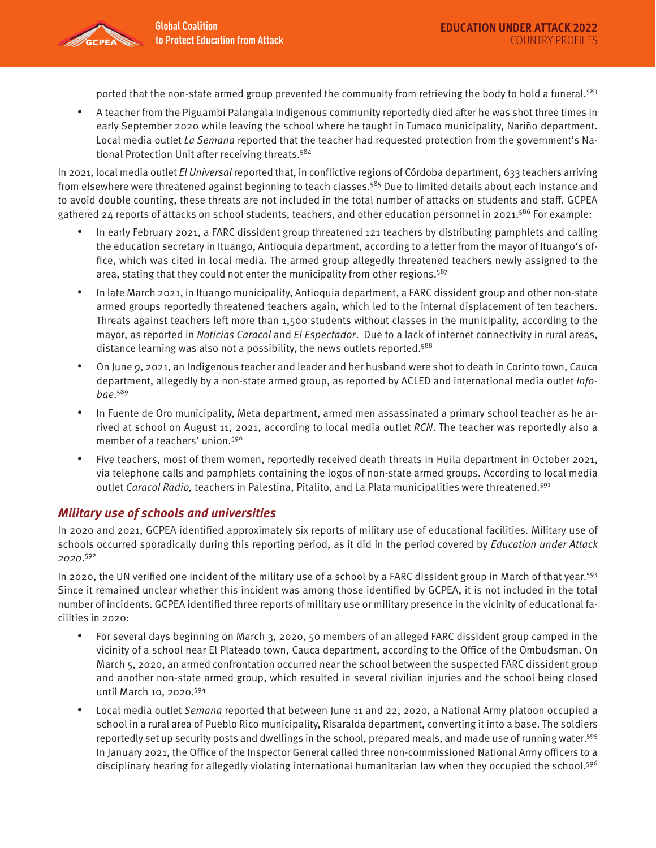

ported that the non-state armed group prevented the community from retrieving the body to hold a funeral.<sup>583</sup>

• A teacher from the Piguambi Palangala Indigenous community reportedly died after he was shot three times in early September 2020 while leaving the school where he taught in Tumaco municipality, Nariño department. Local media outlet La Semana reported that the teacher had requested protection from the government's National Protection Unit after receiving threats.<sup>584</sup>

In 2021, local media outlet El Universal reported that, in conflictive regions of Córdoba department, 633 teachers arriving from elsewhere were threatened against beginning to teach classes.<sup>585</sup> Due to limited details about each instance and to avoid double counting, these threats are not included in the total number of attacks on students and staff. GCPEA gathered 24 reports of attacks on school students, teachers, and other education personnel in 2021.<sup>586</sup> For example:

- In early February 2021, a FARC dissident group threatened 121 teachers by distributing pamphlets and calling the education secretary in Ituango, Antioquia department, according to a letter from the mayor of Ituango's office, which was cited in local media. The armed group allegedly threatened teachers newly assigned to the area, stating that they could not enter the municipality from other regions.<sup>587</sup>
- In late March 2021, in Ituango municipality, Antioquia department, a FARC dissident group and other non-state armed groups reportedly threatened teachers again, which led to the internal displacement of ten teachers. Threats against teachers left more than 1,500 students without classes in the municipality, according to the mayor, as reported in Noticias Caracol and El Espectador. Due to a lack of internet connectivity in rural areas, distance learning was also not a possibility, the news outlets reported.<sup>588</sup>
- On June 9, 2021, an Indigenous teacher and leader and her husband were shot to death in Corinto town, Cauca department, allegedly by a non-state armed group, as reported by ACLED and international media outlet *Info*bae. 589
- In Fuente de Oro municipality, Meta department, armed men assassinated a primary school teacher as he arrived at school on August 11, 2021, according to local media outlet RCN. The teacher was reportedly also a member of a teachers' union.<sup>590</sup>
- Five teachers, most of them women, reportedly received death threats in Huila department in October 2021, via telephone calls and pamphlets containing the logos of non-state armed groups. According to local media outlet Caracol Radio, teachers in Palestina, Pitalito, and La Plata municipalities were threatened.<sup>591</sup>

#### **Military use of schools and universities**

In 2020 and 2021, GCPEA identified approximately six reports of military use of educational facilities. Military use of schools occurred sporadically during this reporting period, as it did in the period covered by Education under Attack 2020. 592

In 2020, the UN verified one incident of the military use of a school by a FARC dissident group in March of that year.<sup>593</sup> Since it remained unclear whether this incident was among those identified by GCPEA, it is not included in the total number of incidents. GCPEA identified three reports of military use or military presence in the vicinity of educational facilities in 2020:

- For several days beginning on March 3, 2020, 50 members of an alleged FARC dissident group camped in the vicinity of a school near El Plateado town, Cauca department, according to the Office of the Ombudsman. On March 5, 2020, an armed confrontation occurred near the school between the suspected FARC dissident group and another non-state armed group, which resulted in several civilian injuries and the school being closed until March 10, 2020.594
- Local media outlet Semana reported that between June 11 and 22, 2020, a National Army platoon occupied a school in a rural area of Pueblo Rico municipality, Risaralda department, converting it into a base. The soldiers reportedly set up security posts and dwellings in the school, prepared meals, and made use of running water.595 In January 2021, the Office of the Inspector General called three non-commissioned National Army officers to a disciplinary hearing for allegedly violating international humanitarian law when they occupied the school.<sup>596</sup>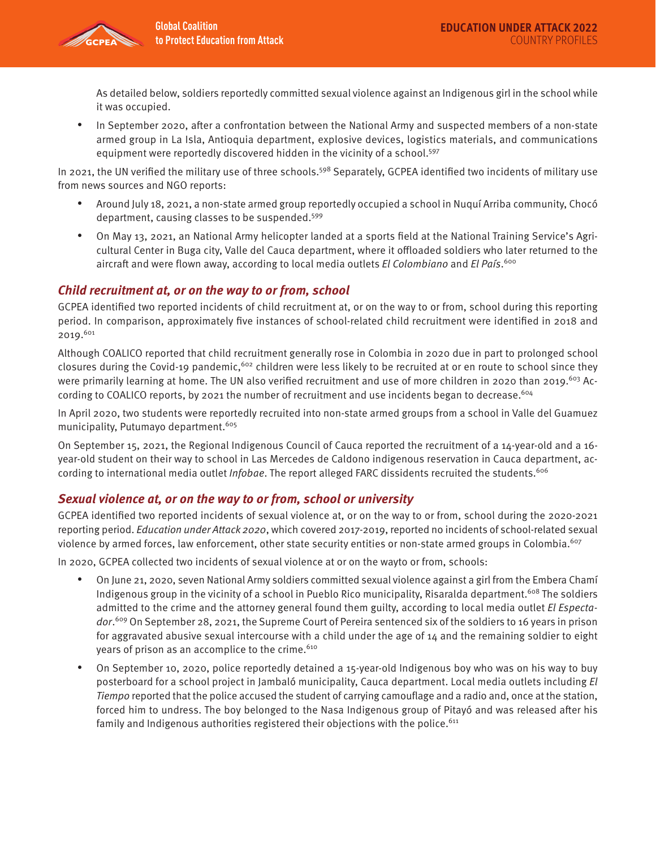

As detailed below, soldiers reportedly committed sexual violence against an Indigenous girl in the school while it was occupied.

• In September 2020, after a confrontation between the National Army and suspected members of a non-state armed group in La Isla, Antioquia department, explosive devices, logistics materials, and communications equipment were reportedly discovered hidden in the vicinity of a school.<sup>597</sup>

In 2021, the UN verified the military use of three schools.<sup>598</sup> Separately, GCPEA identified two incidents of military use from news sources and NGO reports:

- Around July 18, 2021, a non-state armed group reportedly occupied a school in Nuquí Arriba community, Chocó department, causing classes to be suspended.<sup>599</sup>
- On May 13, 2021, an National Army helicopter landed at a sports field at the National Training Service's Agricultural Center in Buga city, Valle del Cauca department, where it offloaded soldiers who later returned to the aircraft and were flown away, according to local media outlets El Colombiano and El País.<sup>600</sup>

## **Child recruitment at, or on the way to or from, school**

GCPEA identified two reported incidents of child recruitment at, or on the way to or from, school during this reporting period. In comparison, approximately five instances of school-related child recruitment were identified in 2018 and 2019.601

Although COALICO reported that child recruitment generally rose in Colombia in 2020 due in part to prolonged school closures during the Covid-19 pandemic,<sup>602</sup> children were less likely to be recruited at or en route to school since they were primarily learning at home. The UN also verified recruitment and use of more children in 2020 than 2019.<sup>603</sup> According to COALICO reports, by 2021 the number of recruitment and use incidents began to decrease.<sup>604</sup>

In April 2020, two students were reportedly recruited into non-state armed groups from a school in Valle del Guamuez municipality, Putumayo department.<sup>605</sup>

On September 15, 2021, the Regional Indigenous Council of Cauca reported the recruitment of a 14-year-old and a 16 year-old student on their way to school in Las Mercedes de Caldono indigenous reservation in Cauca department, according to international media outlet Infobae. The report alleged FARC dissidents recruited the students.<sup>606</sup>

## **Sexual violence at, or on the way to or from, school or university**

GCPEA identified two reported incidents of sexual violence at, or on the way to or from, school during the 2020-2021 reporting period. Education under Attack 2020, which covered 2017-2019, reported no incidents of school-related sexual violence by armed forces, law enforcement, other state security entities or non-state armed groups in Colombia.<sup>607</sup>

In 2020, GCPEA collected two incidents of sexual violence at or on the wayto or from, schools:

- On June 21, 2020, seven National Army soldiers committed sexual violence against a girl from the Embera Chamí Indigenous group in the vicinity of a school in Pueblo Rico municipality, Risaralda department.<sup>608</sup> The soldiers admitted to the crime and the attorney general found them guilty, according to local media outlet El Espectador.<sup>609</sup> On September 28, 2021, the Supreme Court of Pereira sentenced six of the soldiers to 16 years in prison for aggravated abusive sexual intercourse with a child under the age of 14 and the remaining soldier to eight years of prison as an accomplice to the crime.<sup>610</sup>
- On September 10, 2020, police reportedly detained a 15-year-old Indigenous boy who was on his way to buy posterboard for a school project in Jambaló municipality, Cauca department. Local media outlets including El Tiempo reported that the police accused the student of carrying camouflage and a radio and, once at the station, forced him to undress. The boy belonged to the Nasa Indigenous group of Pitayó and was released after his family and Indigenous authorities registered their objections with the police.<sup>611</sup>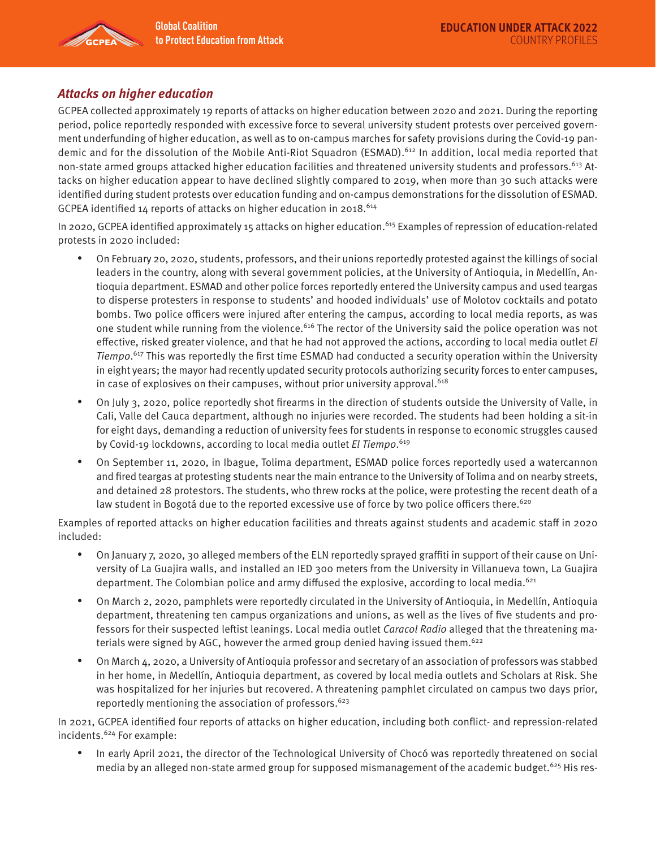

### **Attacks on higher education**

GCPEA collected approximately 19 reports of attacks on higher education between 2020 and 2021. During the reporting period, police reportedly responded with excessive force to several university student protests over perceived government underfunding of higher education, as well as to on-campus marches for safety provisions during the Covid-19 pandemic and for the dissolution of the Mobile Anti-Riot Squadron (ESMAD).<sup>612</sup> In addition, local media reported that non-state armed groups attacked higher education facilities and threatened university students and professors.<sup>613</sup> Attacks on higher education appear to have declined slightly compared to 2019, when more than 30 such attacks were identified during student protests over education funding and on-campus demonstrations for the dissolution of ESMAD. GCPEA identified 14 reports of attacks on higher education in 2018.<sup>614</sup>

In 2020, GCPEA identified approximately 15 attacks on higher education.<sup>615</sup> Examples of repression of education-related protests in 2020 included:

- On February 20, 2020, students, professors, and their unions reportedly protested against the killings of social leaders in the country, along with several government policies, at the University of Antioquia, in Medellín, Antioquia department. ESMAD and other police forces reportedly entered the University campus and used teargas to disperse protesters in response to students' and hooded individuals' use of Molotov cocktails and potato bombs. Two police officers were injured after entering the campus, according to local media reports, as was one student while running from the violence.<sup>616</sup> The rector of the University said the police operation was not effective, risked greater violence, and that he had not approved the actions, according to local media outlet El Tiempo.<sup>617</sup> This was reportedly the first time ESMAD had conducted a security operation within the University in eight years; the mayor had recently updated security protocols authorizing security forces to enter campuses, in case of explosives on their campuses, without prior university approval. $618$
- On July 3, 2020, police reportedly shot firearms in the direction of students outside the University of Valle, in Cali, Valle del Cauca department, although no injuries were recorded. The students had been holding a sit-in for eight days, demanding a reduction of university fees for students in response to economic struggles caused by Covid-19 lockdowns, according to local media outlet El Tiempo.<sup>619</sup>
- On September 11, 2020, in Ibague, Tolima department, ESMAD police forces reportedly used a watercannon and fired teargas at protesting students near the main entrance to the University of Tolima and on nearby streets, and detained 28 protestors. The students, who threw rocks at the police, were protesting the recent death of a law student in Bogotá due to the reported excessive use of force by two police officers there.<sup>620</sup>

Examples of reported attacks on higher education facilities and threats against students and academic staff in 2020 included:

- On January 7, 2020, 30 alleged members of the ELN reportedly sprayed graffiti in support of their cause on University of La Guajira walls, and installed an IED 300 meters from the University in Villanueva town, La Guajira department. The Colombian police and army diffused the explosive, according to local media.<sup>621</sup>
- On March 2, 2020, pamphlets were reportedly circulated in the University of Antioquia, in Medellín, Antioquia department, threatening ten campus organizations and unions, as well as the lives of five students and professors for their suspected leftist leanings. Local media outlet Caracol Radio alleged that the threatening materials were signed by AGC, however the armed group denied having issued them.<sup>622</sup>
- On March 4, 2020, a University of Antioquia professor and secretary of an association of professors was stabbed in her home, in Medellín, Antioquia department, as covered by local media outlets and Scholars at Risk. She was hospitalized for her injuries but recovered. A threatening pamphlet circulated on campus two days prior, reportedly mentioning the association of professors.  $623$

In 2021, GCPEA identified four reports of attacks on higher education, including both conflict- and repression-related incidents.624 For example:

• In early April 2021, the director of the Technological University of Chocó was reportedly threatened on social media by an alleged non-state armed group for supposed mismanagement of the academic budget.<sup>625</sup> His res-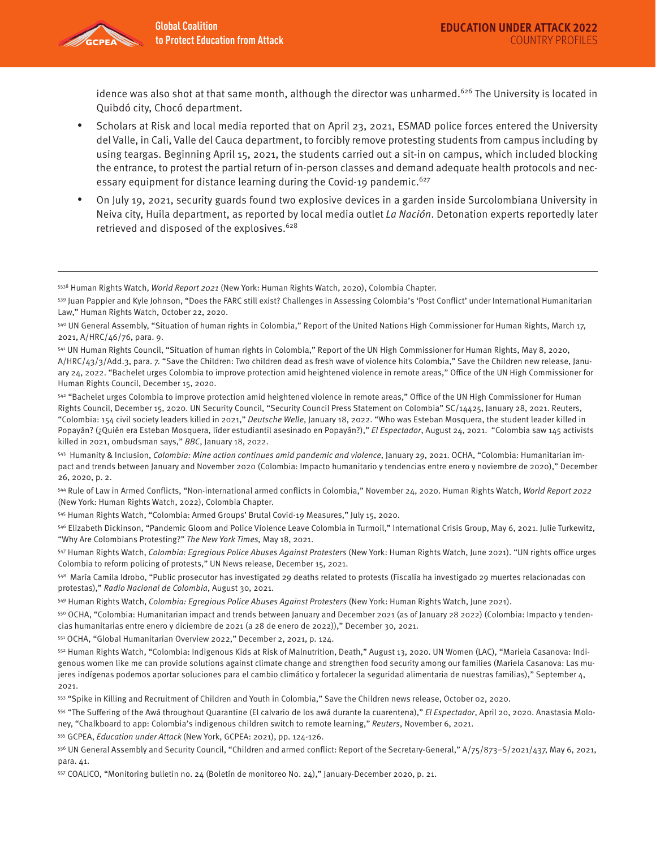

idence was also shot at that same month, although the director was unharmed.<sup>626</sup> The University is located in Quibdó city, Chocó department.

- Scholars at Risk and local media reported that on April 23, 2021, ESMAD police forces entered the University del Valle, in Cali, Valle del Cauca department, to forcibly remove protesting students from campus including by using teargas. Beginning April 15, 2021, the students carried out a sit-in on campus, which included blocking the entrance, to protest the partial return of in-person classes and demand adequate health protocols and necessary equipment for distance learning during the Covid-19 pandemic.<sup>627</sup>
- On July 19, 2021, security guards found two explosive devices in a garden inside Surcolombiana University in Neiva city, Huila department, as reported by local media outlet La Nación. Detonation experts reportedly later retrieved and disposed of the explosives.<sup>628</sup>

542 "Bachelet urges Colombia to improve protection amid heightened violence in remote areas," Office of the UN High Commissioner for Human Rights Council, December 15, 2020. UN Security Council, "Security Council Press Statement on Colombia" SC/14425, January 28, 2021. Reuters, "Colombia: 154 civil society leaders killed in 2021," Deutsche Welle, January 18, 2022. "Who was Esteban Mosquera, the student leader killed in Popayán? (¿Quién era Esteban Mosquera, líder estudiantil asesinado en Popayán?)," El Espectador, August 24, 2021. "Colombia saw 145 activists killed in 2021, ombudsman says," BBC, January 18, 2022.

543 Humanity & Inclusion, Colombia: Mine action continues amid pandemic and violence, January 29, 2021. OCHA, "Colombia: Humanitarian impact and trends between January and November 2020 (Colombia: Impacto humanitario y tendencias entre enero y noviembre de 2020)," December 26, 2020, p. 2.

544 Rule of Law in Armed Conflicts, "Non-international armed conflicts in Colombia," November 24, 2020. Human Rights Watch, World Report 2022 (New York: Human Rights Watch, 2022), Colombia Chapter.

545 Human Rights Watch, "Colombia: Armed Groups' Brutal Covid-19 Measures," July 15, 2020.

546 Elizabeth Dickinson, "Pandemic Gloom and Police Violence Leave Colombia in Turmoil," International Crisis Group, May 6, 2021. Julie Turkewitz, "Why Are Colombians Protesting?" The New York Times, May 18, 2021.

547 Human Rights Watch, Colombia: Egregious Police Abuses Against Protesters (New York: Human Rights Watch, June 2021). "UN rights office urges Colombia to reform policing of protests," UN News release, December 15, 2021.

548 María Camila Idrobo, "Public prosecutor has investigated 29 deaths related to protests (Fiscalía ha investigado 29 muertes relacionadas con protestas)," Radio Nacional de Colombia, August 30, 2021.

549 Human Rights Watch, Colombia: Egregious Police Abuses Against Protesters (New York: Human Rights Watch, June 2021).

550 OCHA, "Colombia: Humanitarian impact and trends between January and December 2021 (as of January 28 2022) (Colombia: Impacto y tendencias humanitarias entre enero y diciembre de 2021 (a 28 de enero de 2022))," December 30, 2021.

551 OCHA, "Global Humanitarian Overview 2022," December 2, 2021, p. 124.

552 Human Rights Watch, "Colombia: Indigenous Kids at Risk of Malnutrition, Death," August 13, 2020. UN Women (LAC), "Mariela Casanova: Indigenous women like me can provide solutions against climate change and strengthen food security among our families (Mariela Casanova: Las mujeres indígenas podemos aportar soluciones para el cambio climático y fortalecer la seguridad alimentaria de nuestras familias)," September 4, 2021.

553 "Spike in Killing and Recruitment of Children and Youth in Colombia," Save the Children news release, October 02, 2020.

554 "The Suffering of the Awá throughout Quarantine (El calvario de los awá durante la cuarentena)," El Espectador, April 20, 2020. Anastasia Moloney, "Chalkboard to app: Colombia's indigenous children switch to remote learning," Reuters, November 6, 2021.

555 GCPEA, Education under Attack (New York, GCPEA: 2021), pp. 124-126.

556 UN General Assembly and Security Council, "Children and armed conflict: Report of the Secretary-General," A/75/873–S/2021/437, May 6, 2021, para. 41.

557 COALICO, "Monitoring bulletin no. 24 (Boletín de monitoreo No. 24)," January-December 2020, p. 21.

<sup>5538</sup> Human Rights Watch, World Report 2021 (New York: Human Rights Watch, 2020), Colombia Chapter.

<sup>539</sup> Juan Pappier and Kyle Johnson, "Does the FARC still exist? Challenges in Assessing Colombia's 'Post Conflict' under International Humanitarian Law," Human Rights Watch, October 22, 2020.

<sup>540</sup> UN General Assembly, "Situation of human rights in Colombia," Report of the United Nations High Commissioner for Human Rights, March 17, 2021, A/HRC/46/76, para. 9.

<sup>541</sup> UN Human Rights Council, "Situation of human rights in Colombia," Report of the UN High Commissioner for Human Rights, May 8, 2020, A/HRC/43/3/Add.3, para. 7. "Save the Children: Two children dead as fresh wave of violence hits Colombia," Save the Children new release, January 24, 2022. "Bachelet urges Colombia to improve protection amid heightened violence in remote areas," Office of the UN High Commissioner for Human Rights Council, December 15, 2020.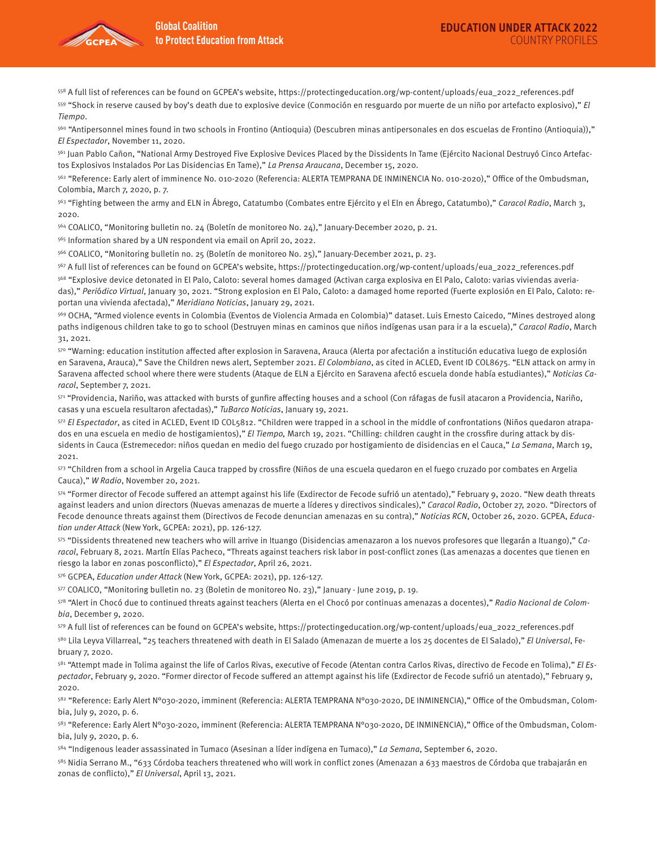

558 A full list of references can be found on GCPEA's website, https://protectingeducation.org/wp-content/uploads/eua\_2022\_references.pdf 559 "Shock in reserve caused by boy's death due to explosive device (Conmoción en resguardo por muerte de un niño por artefacto explosivo)," El Tiempo.

560 "Antipersonnel mines found in two schools in Frontino (Antioquia) (Descubren minas antipersonales en dos escuelas de Frontino (Antioquia))," El Espectador, November 11, 2020.

561 Juan Pablo Cañon, "National Army Destroyed Five Explosive Devices Placed by the Dissidents In Tame (Ejército Nacional Destruyó Cinco Artefactos Explosivos Instalados Por Las Disidencias En Tame)," La Prensa Araucana, December 15, 2020.

562 "Reference: Early alert of imminence No. 010-2020 (Referencia: ALERTA TEMPRANA DE INMINENCIA No. 010-2020)," Office of the Ombudsman, Colombia, March 7, 2020, p. 7.

<sup>563</sup> "Fighting between the army and ELN in Ábrego, Catatumbo (Combates entre Ejército y el Eln en Ábrego, Catatumbo)," Caracol Radio, March 3, 2020.

564 COALICO, "Monitoring bulletin no. 24 (Boletín de monitoreo No. 24)," January-December 2020, p. 21.

565 Information shared by a UN respondent via email on April 20, 2022.

566 COALICO, "Monitoring bulletin no. 25 (Boletín de monitoreo No. 25)," January-December 2021, p. 23.

567 A full list of references can be found on GCPEA's website, https://protectingeducation.org/wp-content/uploads/eua\_2022\_references.pdf

568 "Explosive device detonated in El Palo, Caloto: several homes damaged (Activan carga explosiva en El Palo, Caloto: varias viviendas averiadas)," Periódico Virtual, January 30, 2021. "Strong explosion en El Palo, Caloto: a damaged home reported (Fuerte explosión en El Palo, Caloto: reportan una vivienda afectada)," Meridiano Noticias, January 29, 2021.

569 OCHA, "Armed violence events in Colombia (Eventos de Violencia Armada en Colombia)" dataset. Luis Ernesto Caicedo, "Mines destroyed along paths indigenous children take to go to school (Destruyen minas en caminos que niños indígenas usan para ir a la escuela)," Caracol Radio, March 31, 2021.

570 "Warning: education institution affected after explosion in Saravena, Arauca (Alerta por afectación a institución educativa luego de explosión en Saravena, Arauca)," Save the Children news alert, September 2021. El Colombiano, as cited in ACLED, Event ID COL8675. "ELN attack on army in Saravena affected school where there were students (Ataque de ELN a Ejército en Saravena afectó escuela donde había estudiantes)," Noticias Caracol, September 7, 2021.

571 "Providencia, Nariño, was attacked with bursts of gunfire affecting houses and a school (Con ráfagas de fusil atacaron a Providencia, Nariño, casas y una escuela resultaron afectadas)," TuBarco Noticias, January 19, 2021.

572 El Espectador, as cited in ACLED, Event ID COL5812. "Children were trapped in a school in the middle of confrontations (Niños quedaron atrapados en una escuela en medio de hostigamientos)," El Tiempo, March 19, 2021. "Chilling: children caught in the crossfire during attack by dissidents in Cauca (Estremecedor: niños quedan en medio del fuego cruzado por hostigamiento de disidencias en el Cauca," La Semana, March 19, 2021.

573 "Children from a school in Argelia Cauca trapped by crossfire (Niños de una escuela quedaron en el fuego cruzado por combates en Argelia Cauca)," W Radio, November 20, 2021.

574 "Former director of Fecode suffered an attempt against his life (Exdirector de Fecode sufrió un atentado)," February 9, 2020. "New death threats against leaders and union directors (Nuevas amenazas de muerte a líderes y directivos sindicales)," Caracol Radio, October 27, 2020. "Directors of Fecode denounce threats against them (Directivos de Fecode denuncian amenazas en su contra)," Noticias RCN, October 26, 2020. GCPEA, Education under Attack (New York, GCPEA: 2021), pp. 126-127.

575 "Dissidents threatened new teachers who will arrive in Ituango (Disidencias amenazaron a los nuevos profesores que llegarán a Ituango)," Caracol, February 8, 2021. Martín Elías Pacheco, "Threats against teachers risk labor in post-conflict zones (Las amenazas a docentes que tienen en riesgo la labor en zonas posconflicto)," El Espectador, April 26, 2021.

576 GCPEA, Education under Attack (New York, GCPEA: 2021), pp. 126-127.

577 COALICO, "Monitoring bulletin no. 23 (Boletin de monitoreo No. 23)," January - June 2019, p. 19.

578 "Alert in Chocó due to continued threats against teachers (Alerta en el Chocó por continuas amenazas a docentes)," Radio Nacional de Colombia, December 9, 2020.

579 A full list of references can be found on GCPEA's website, https://protectingeducation.org/wp-content/uploads/eua\_2022\_references.pdf

580 Lila Leyva Villarreal, "25 teachers threatened with death in El Salado (Amenazan de muerte a los 25 docentes de El Salado)," El Universal, February 7, 2020.

581 "Attempt made in Tolima against the life of Carlos Rivas, executive of Fecode (Atentan contra Carlos Rivas, directivo de Fecode en Tolima)," El Espectador, February 9, 2020. "Former director of Fecode suffered an attempt against his life (Exdirector de Fecode sufrió un atentado)," February 9, 2020.

582 "Reference: Early Alert N°030-2020, imminent (Referencia: ALERTA TEMPRANA N°030-2020, DE INMINENCIA)," Office of the Ombudsman, Colombia, July 9, 2020, p. 6.

583 "Reference: Early Alert N°030-2020, imminent (Referencia: ALERTA TEMPRANA N°030-2020, DE INMINENCIA)," Office of the Ombudsman, Colombia, July 9, 2020, p. 6.

<sup>584</sup> "Indigenous leader assassinated in Tumaco (Asesinan a líder indígena en Tumaco)," La Semana, September 6, 2020.

585 Nidia Serrano M., "633 Córdoba teachers threatened who will work in conflict zones (Amenazan a 633 maestros de Córdoba que trabajarán en zonas de conflicto)," El Universal, April 13, 2021.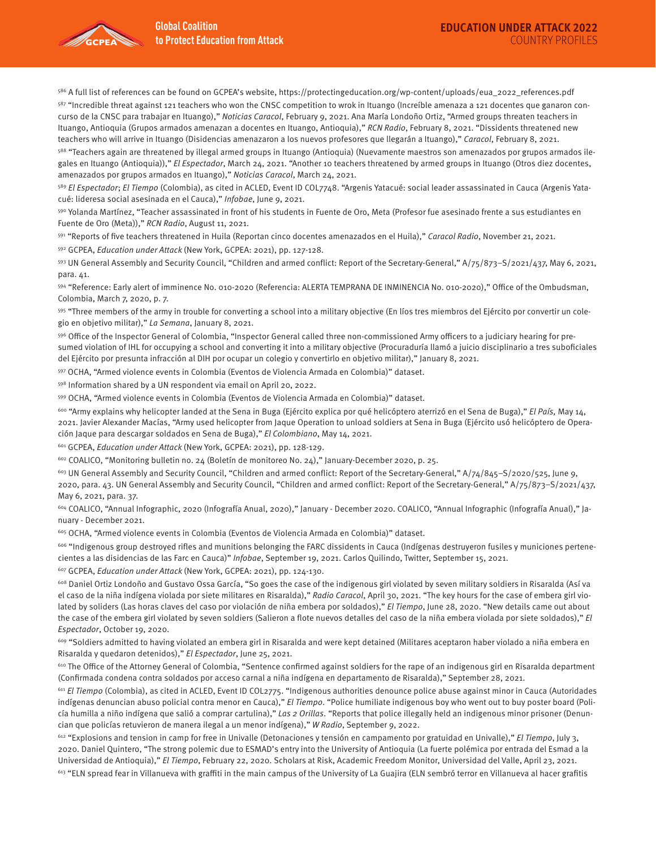

586 A full list of references can be found on GCPEA's website, https://protectingeducation.org/wp-content/uploads/eua\_2022\_references.pdf  $587$  "Incredible threat against 121 teachers who won the CNSC competition to wrok in Ituango (Increíble amenaza a 121 docentes que ganaron concurso de la CNSC para trabajar en Ituango)," Noticias Caracol, February 9, 2021. Ana María Londoño Ortiz, "Armed groups threaten teachers in Ituango, Antioquia (Grupos armados amenazan a docentes en Ituango, Antioquia)," RCN Radio, February 8, 2021. "Dissidents threatened new teachers who will arrive in Ituango (Disidencias amenazaron a los nuevos profesores que llegarán a Ituango)," Caracol, February 8, 2021.

588 "Teachers again are threatened by illegal armed groups in Ituango (Antioquia) (Nuevamente maestros son amenazados por grupos armados ilegales en Ituango (Antioquia))," El Espectador, March 24, 2021. "Another 10 teachers threatened by armed groups in Ituango (Otros diez docentes, amenazados por grupos armados en Ituango)," Noticias Caracol, March 24, 2021.

<sup>589</sup> El Espectador; El Tiempo (Colombia), as cited in ACLED, Event ID COL7748. "Argenis Yatacué: social leader assassinated in Cauca (Argenis Yatacué: lideresa social asesinada en el Cauca)," Infobae, June 9, 2021.

590 Yolanda Martínez, "Teacher assassinated in front of his students in Fuente de Oro, Meta (Profesor fue asesinado frente a sus estudiantes en Fuente de Oro (Meta))," RCN Radio, August 11, 2021.

591 "Reports of five teachers threatened in Huila (Reportan cinco docentes amenazados en el Huila)," Caracol Radio, November 21, 2021.

592 GCPEA, Education under Attack (New York, GCPEA: 2021), pp. 127-128.

593 UN General Assembly and Security Council, "Children and armed conflict: Report of the Secretary-General," A/75/873–S/2021/437, May 6, 2021, para. 41.

594 "Reference: Early alert of imminence No. 010-2020 (Referencia: ALERTA TEMPRANA DE INMINENCIA No. 010-2020)," Office of the Ombudsman, Colombia, March 7, 2020, p. 7.

595 "Three members of the army in trouble for converting a school into a military objective (En líos tres miembros del Ejército por convertir un colegio en objetivo militar)," La Semana, January 8, 2021.

596 Office of the Inspector General of Colombia, "Inspector General called three non-commissioned Army officers to a judiciary hearing for presumed violation of IHL for occupying a school and converting it into a military objective (Procuraduría llamó a juicio disciplinario a tres suboficiales del Ejército por presunta infracción al DIH por ocupar un colegio y convertirlo en objetivo militar)," January 8, 2021.

597 OCHA, "Armed violence events in Colombia (Eventos de Violencia Armada en Colombia)" dataset.

598 Information shared by a UN respondent via email on April 20, 2022.

599 OCHA, "Armed violence events in Colombia (Eventos de Violencia Armada en Colombia)" dataset.

<sup>600</sup> "Army explains why helicopter landed at the Sena in Buga (Ejército explica por qué helicóptero aterrizó en el Sena de Buga)," El País, May 14, 2021. Javier Alexander Macías, "Army used helicopter from Jaque Operation to unload soldiers at Sena in Buga (Ejército usó helicóptero de Operación Jaque para descargar soldados en Sena de Buga)," El Colombiano, May 14, 2021.

601 GCPEA, Education under Attack (New York, GCPEA: 2021), pp. 128-129.

602 COALICO, "Monitoring bulletin no. 24 (Boletín de monitoreo No. 24)," January-December 2020, p. 25.

 $603$  UN General Assembly and Security Council, "Children and armed conflict: Report of the Secretary-General,"  $A/74/845-S/2020/525$ , June 9, 2020, para. 43. UN General Assembly and Security Council, "Children and armed conflict: Report of the Secretary-General," A/75/873–S/2021/437, May 6, 2021, para. 37.

604 COALICO, "Annual Infographic, 2020 (Infografía Anual, 2020)," January - December 2020. COALICO, "Annual Infographic (Infografía Anual)," January - December 2021.

605 OCHA, "Armed violence events in Colombia (Eventos de Violencia Armada en Colombia)" dataset.

606 "Indigenous group destroyed rifles and munitions belonging the FARC dissidents in Cauca (Indígenas destruyeron fusiles y municiones pertenecientes a las disidencias de las Farc en Cauca)" Infobae, September 19, 2021. Carlos Quilindo, Twitter, September 15, 2021.

607 GCPEA, Education under Attack (New York, GCPEA: 2021), pp. 124-130.

608 Daniel Ortiz Londoño and Gustavo Ossa García, "So goes the case of the indigenous girl violated by seven military soldiers in Risaralda (Así va el caso de la niña indígena violada por siete militares en Risaralda)," Radio Caracol, April 30, 2021. "The key hours for the case of embera girl violated by soliders (Las horas claves del caso por violación de niña embera por soldados)," El Tiempo, June 28, 2020. "New details came out about the case of the embera girl violated by seven soldiers (Salieron a flote nuevos detalles del caso de la niña embera violada por siete soldados)," El Espectador, October 19, 2020.

609 "Soldiers admitted to having violated an embera girl in Risaralda and were kept detained (Militares aceptaron haber violado a niña embera en Risaralda y quedaron detenidos)," El Espectador, June 25, 2021.

610 The Office of the Attorney General of Colombia, "Sentence confirmed against soldiers for the rape of an indigenous girl en Risaralda department (Confirmada condena contra soldados por acceso carnal a niña indígena en departamento de Risaralda)," September 28, 2021.

<sup>611</sup> El Tiempo (Colombia), as cited in ACLED, Event ID COL2775. "Indigenous authorities denounce police abuse against minor in Cauca (Autoridades indígenas denuncian abuso policial contra menor en Cauca)," El Tiempo. "Police humiliate indigenous boy who went out to buy poster board (Policía humilla a niño indígena que salió a comprar cartulina)," Las 2 Orillas. "Reports that police illegally held an indigenous minor prisoner (Denuncian que policías retuvieron de manera ilegal a un menor indígena)," W Radio, September 9, 2022.

 $612$  "Explosions and tension in camp for free in Univalle (Detonaciones y tensión en campamento por gratuidad en Univalle)," El Tiempo, July 3, 2020. Daniel Quintero, "The strong polemic due to ESMAD's entry into the University of Antioquia (La fuerte polémica por entrada del Esmad a la Universidad de Antioquia)," El Tiempo, February 22, 2020. Scholars at Risk, Academic Freedom Monitor, Universidad del Valle, April 23, 2021.  $613$  "ELN spread fear in Villanueva with graffiti in the main campus of the University of La Guajira (ELN sembró terror en Villanueva al hacer grafitis